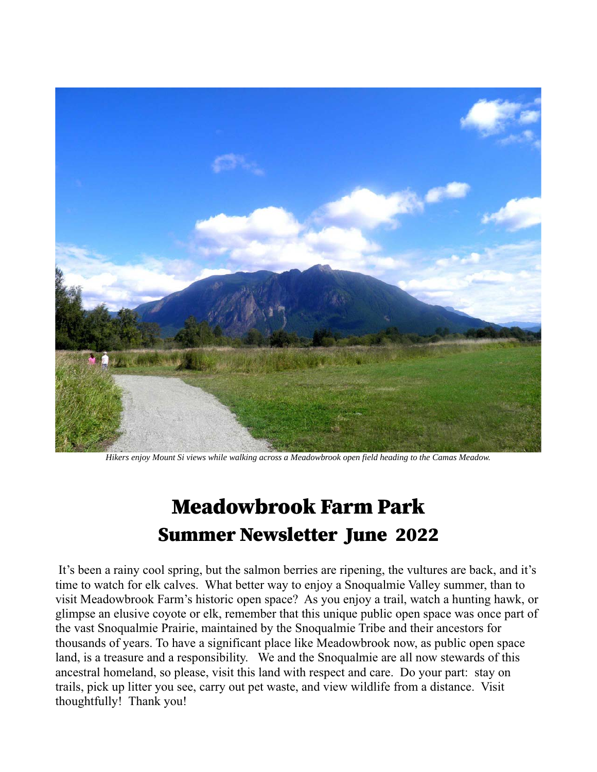

Hikers enjoy Mount Si views while walking across a Meadowbrook open field heading to the Camas Meadow.

# **Meadowbrook Farm Park Summer Newsletter June 2022**

It's been a rainy cool spring, but the salmon berries are ripening, the vultures are back, and it's time to watch for elk calves. What better way to enjoy a Snoqualmie Valley summer, than to visit Meadowbrook Farm's historic open space? As you enjoy a trail, watch a hunting hawk, or glimpse an elusive coyote or elk, remember that this unique public open space was once part of the vast Snoqualmie Prairie, maintained by the Snoqualmie Tribe and their ancestors for thousands of years. To have a significant place like Meadowbrook now, as public open space land, is a treasure and a responsibility. We and the Snoqualmie are all now stewards of this ancestral homeland, so please, visit this land with respect and care. Do your part: stay on trails, pick up litter you see, carry out pet waste, and view wildlife from a distance. Visit thoughtfully! Thank you!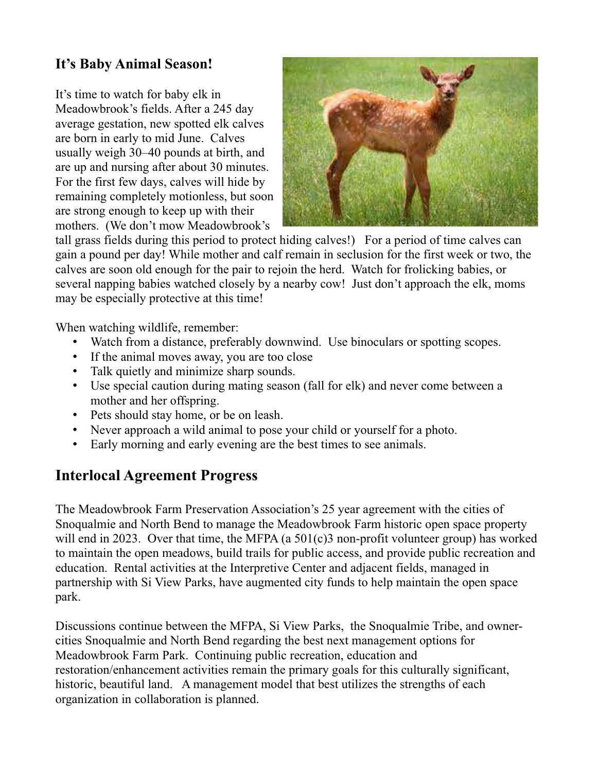### It's Baby Animal Season!

It's time to watch for baby elk in Meadowbrook's fields. After a 245 day average gestation, new spotted elk calves are born in early to mid June. Calves usually weigh 30–40 pounds at birth, and are up and nursing after about 30 minutes. For the first few days, calves will hide by remaining completely motionless, but soon are strong enough to keep up with their mothers. (We don't mow Meadowbrook's



tall grass fields during this period to protect hiding calves!) For a period of time calves can gain a pound per day! While mother and calf remain in seclusion for the first week or two, the calves are soon old enough for the pair to rejoin the herd. Watch for frolicking babies, or several napping babies watched closely by a nearby cow! Just don't approach the elk, moms may be especially protective at this time!

When watching wildlife, remember:

- Watch from a distance, preferably downwind. Use binoculars or spotting scopes.
- If the animal moves away, you are too close
- Talk quietly and minimize sharp sounds.
- Use special caution during mating season (fall for elk) and never come between a mother and her offspring.
- Pets should stay home, or be on leash.
- Never approach a wild animal to pose your child or yourself for a photo.
- Early morning and early evening are the best times to see animals.

### **Interlocal Agreement Progress**

The Meadowbrook Farm Preservation Association's 25 year agreement with the cities of Snoqualmie and North Bend to manage the Meadowbrook Farm historic open space property will end in 2023. Over that time, the MFPA (a  $501(c)3$  non-profit volunteer group) has worked to maintain the open meadows, build trails for public access, and provide public recreation and education. Rental activities at the Interpretive Center and adjacent fields, managed in partnership with Si View Parks, have augmented city funds to help maintain the open space park.

Discussions continue between the MFPA, Si View Parks, the Snoqualmie Tribe, and ownercities Snoqualmie and North Bend regarding the best next management options for Meadowbrook Farm Park. Continuing public recreation, education and restoration/enhancement activities remain the primary goals for this culturally significant, historic, beautiful land. A management model that best utilizes the strengths of each organization in collaboration is planned.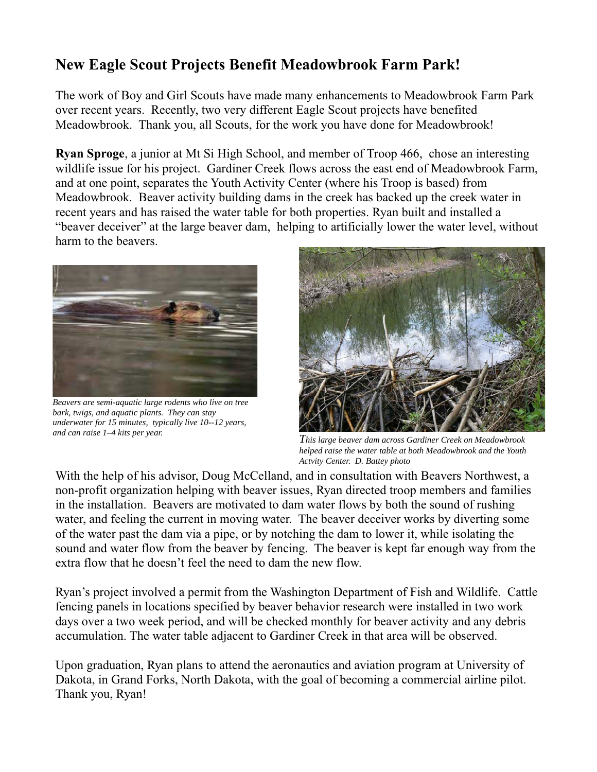# **New Eagle Scout Projects Benefit Meadowbrook Farm Park!**

The work of Boy and Girl Scouts have made many enhancements to Meadowbrook Farm Park over recent years. Recently, two very different Eagle Scout projects have benefited Meadowbrook. Thank you, all Scouts, for the work you have done for Meadowbrook!

**Ryan Sproge**, a junior at Mt Si High School, and member of Troop 466, chose an interesting wildlife issue for his project. Gardiner Creek flows across the east end of Meadowbrook Farm, and at one point, separates the Youth Activity Center (where his Troop is based) from Meadowbrook. Beaver activity building dams in the creek has backed up the creek water in recent years and has raised the water table for both properties. Ryan built and installed a "beaver deceiver" at the large beaver dam, helping to artificially lower the water level, without harm to the beavers.



Beavers are semi-aquatic large rodents who live on tree bark, twigs, and aquatic plants. They can stay underwater for 15 minutes, typically live 10--12 years, and can raise 1-4 kits per year.



This large beaver dam across Gardiner Creek on Meadowbrook helped raise the water table at both Meadowbrook and the Youth Actvity Center. D. Battey photo

With the help of his advisor, Doug McCelland, and in consultation with Beavers Northwest, a non-profit organization helping with beaver issues, Ryan directed troop members and families in the installation. Beavers are motivated to dam water flows by both the sound of rushing water, and feeling the current in moving water. The beaver deceiver works by diverting some of the water past the dam via a pipe, or by notching the dam to lower it, while isolating the sound and water flow from the beaver by fencing. The beaver is kept far enough way from the extra flow that he doesn't feel the need to dam the new flow.

Ryan's project involved a permit from the Washington Department of Fish and Wildlife. Cattle fencing panels in locations specified by beaver behavior research were installed in two work days over a two week period, and will be checked monthly for beaver activity and any debris accumulation. The water table adjacent to Gardiner Creek in that area will be observed.

Upon graduation, Ryan plans to attend the aeronautics and aviation program at University of Dakota, in Grand Forks, North Dakota, with the goal of becoming a commercial airline pilot. Thank you, Ryan!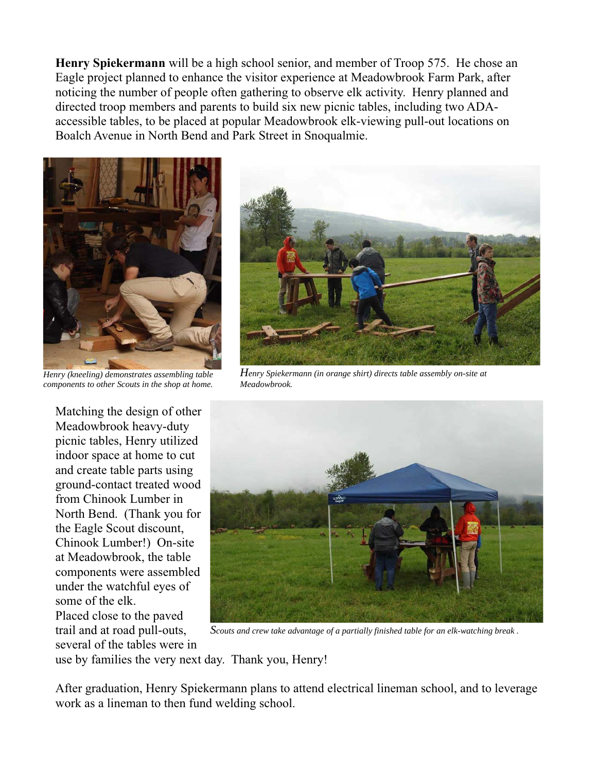Henry Spiekermann will be a high school senior, and member of Troop 575. He chose an Eagle project planned to enhance the visitor experience at Meadowbrook Farm Park, after noticing the number of people often gathering to observe elk activity. Henry planned and directed troop members and parents to build six new picnic tables, including two ADAaccessible tables, to be placed at popular Meadowbrook elk-viewing pull-out locations on Boalch Avenue in North Bend and Park Street in Snoqualmie.



Henry (kneeling) demonstrates assembling table components to other Scouts in the shop at home.

Matching the design of other Meadowbrook heavy-duty picnic tables, Henry utilized indoor space at home to cut and create table parts using ground-contact treated wood from Chinook Lumber in North Bend. (Thank you for the Eagle Scout discount, Chinook Lumber!) On-site at Meadowbrook, the table components were assembled under the watchful eyes of some of the elk. Placed close to the paved trail and at road pull-outs,

several of the tables were in



Henry Spiekermann (in orange shirt) directs table assembly on-site at Meadowbrook.



Scouts and crew take advantage of a partially finished table for an elk-watching break.

use by families the very next day. Thank you, Henry!

After graduation, Henry Spiekermann plans to attend electrical lineman school, and to leverage work as a lineman to then fund welding school.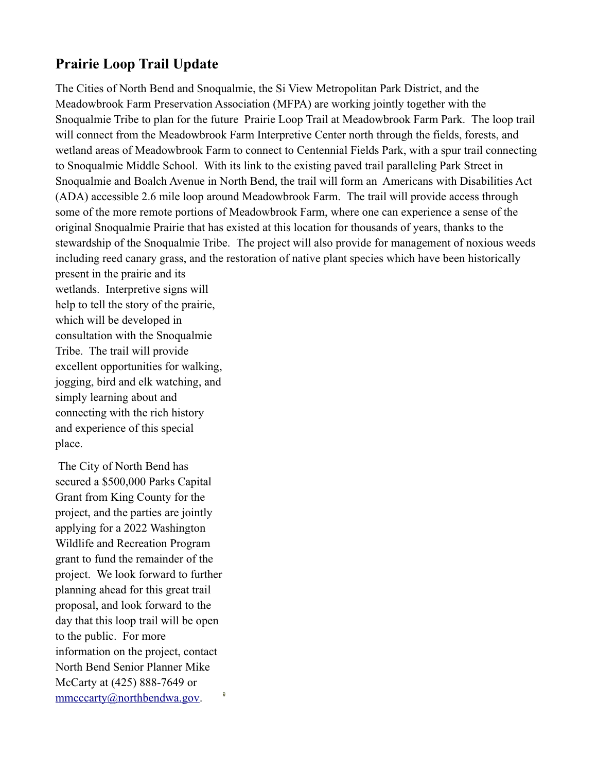### **Prairie Loop Trail Update**

The Cities of North Bend and Snoqualmie, the Si View Metropolitan Park District, and the Meadowbrook Farm Preservation Association (MFPA) are working jointly together with the Snoqualmie Tribe to plan for the future Prairie Loop Trail at Meadowbrook Farm Park. The loop trail will connect from the Meadowbrook Farm Interpretive Center north through the fields, forests, and wetland areas of Meadowbrook Farm to connect to Centennial Fields Park, with a spur trail connecting to Snoqualmie Middle School. With its link to the existing paved trail paralleling Park Street in Snoqualmie and Boalch Avenue in North Bend, the trail will form an Americans with Disabilities Act (ADA) accessible 2.6 mile loop around Meadowbrook Farm. The trail will provide access through some of the more remote portions of Meadowbrook Farm, where one can experience a sense of the original Snoqualmie Prairie that has existed at this location for thousands of years, thanks to the stewardship of the Snoqualmie Tribe. The project will also provide for management of noxious weeds including reed canary grass, and the restoration of native plant species which have been historically

present in the prairie and its wetlands. Interpretive signs will help to tell the story of the prairie. which will be developed in consultation with the Snoqualmie Tribe. The trail will provide excellent opportunities for walking. iogging, bird and elk watching, and simply learning about and connecting with the rich history and experience of this special place.

The City of North Bend has secured a \$500,000 Parks Capital Grant from King County for the project, and the parties are jointly applying for a 2022 Washington Wildlife and Recreation Program grant to fund the remainder of the project. We look forward to further planning ahead for this great trail proposal, and look forward to the day that this loop trail will be open to the public. For more information on the project, contact North Bend Senior Planner Mike McCarty at (425) 888-7649 or  $\text{mm}$ cccartv@northbendwa.gov. ø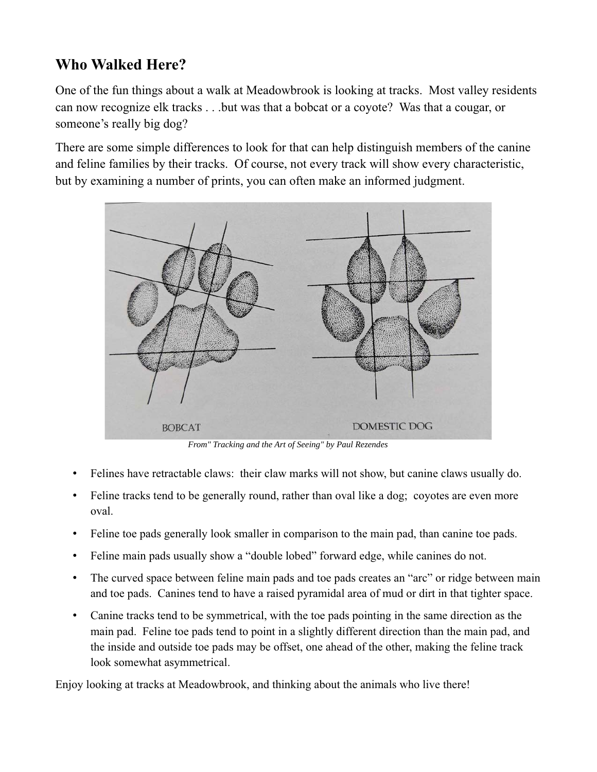# **Who Walked Here?**

One of the fun things about a walk at Meadowbrook is looking at tracks. Most valley residents can now recognize elk tracks . . .but was that a bobcat or a coyote? Was that a cougar, or someone's really big dog?

There are some simple differences to look for that can help distinguish members of the canine and feline families by their tracks. Of course, not every track will show every characteristic, but by examining a number of prints, you can often make an informed judgment.



From" Tracking and the Art of Seeing" by Paul Rezendes

- Felines have retractable claws: their claw marks will not show, but canine claws usually do.
- Feline tracks tend to be generally round, rather than oval like a dog; covotes are even more oval.
- Feline toe pads generally look smaller in comparison to the main pad, than canine toe pads.  $\bullet$
- Feline main pads usually show a "double lobed" forward edge, while canines do not.
- The curved space between feline main pads and toe pads creates an "arc" or ridge between main  $\bullet$ and toe pads. Canines tend to have a raised pyramidal area of mud or dirt in that tighter space.
- Canine tracks tend to be symmetrical, with the toe pads pointing in the same direction as the  $\bullet$ main pad. Feline toe pads tend to point in a slightly different direction than the main pad, and the inside and outside toe pads may be offset, one ahead of the other, making the feline track look somewhat asymmetrical.

Enjoy looking at tracks at Meadowbrook, and thinking about the animals who live there!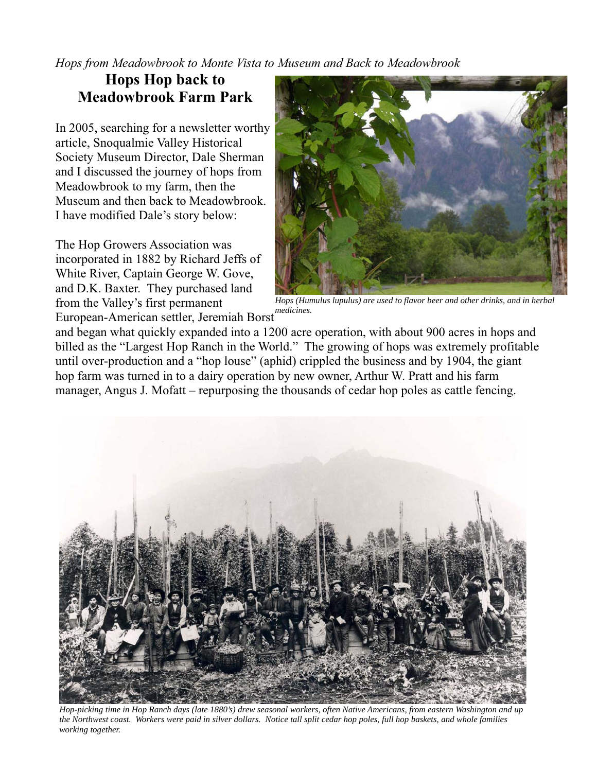Hops from Meadowbrook to Monte Vista to Museum and Back to Meadowbrook

## **Hops Hop back to Meadowbrook Farm Park**

In 2005, searching for a newsletter worthy article, Snoqualmie Valley Historical Society Museum Director, Dale Sherman and I discussed the journey of hops from Meadowbrook to my farm, then the Museum and then back to Meadowbrook. I have modified Dale's story below:

The Hop Growers Association was incorporated in 1882 by Richard Jeffs of White River, Captain George W. Gove, and D.K. Baxter. They purchased land from the Valley's first permanent European-American settler, Jeremiah Borst



Hops (Humulus lupulus) are used to flavor beer and other drinks, and in herbal medicines.

and began what quickly expanded into a 1200 acre operation, with about 900 acres in hops and billed as the "Largest Hop Ranch in the World." The growing of hops was extremely profitable until over-production and a "hop louse" (aphid) crippled the business and by 1904, the giant hop farm was turned in to a dairy operation by new owner, Arthur W. Pratt and his farm manager, Angus J. Mofatt – repurposing the thousands of cedar hop poles as cattle fencing.



Hop-picking time in Hop Ranch days (late 1880's) drew seasonal workers, often Native Americans, from eastern Washington and up the Northwest coast. Workers were paid in silver dollars. Notice tall split cedar hop poles, full hop baskets, and whole families working together.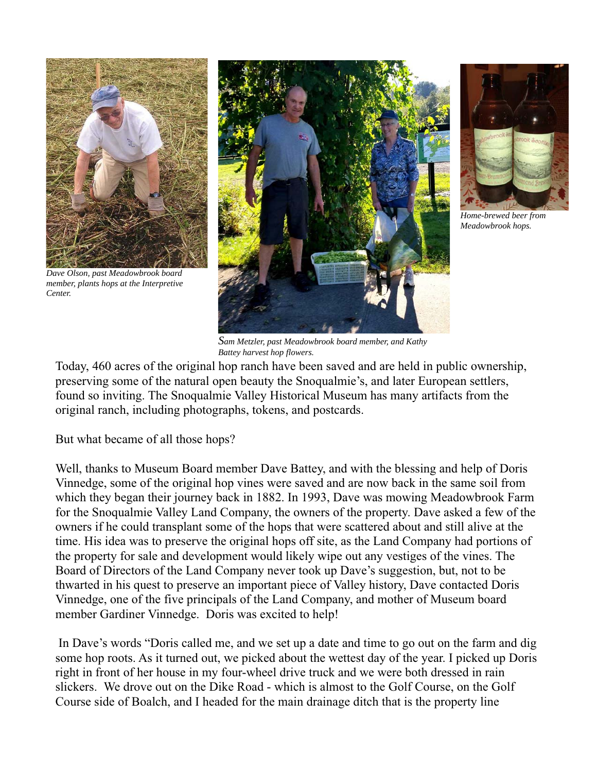

Dave Olson, past Meadowbrook board member, plants hops at the Interpretive Center





Home-brewed beer from Meadowbrook hops.

Sam Metzler, past Meadowbrook board member, and Kathy Battey harvest hop flowers.

Today, 460 acres of the original hop ranch have been saved and are held in public ownership, preserving some of the natural open beauty the Snoqualmie's, and later European settlers, found so inviting. The Snoqualmie Valley Historical Museum has many artifacts from the original ranch, including photographs, tokens, and postcards.

But what became of all those hops?

Well, thanks to Museum Board member Dave Battey, and with the blessing and help of Doris Vinnedge, some of the original hop vines were saved and are now back in the same soil from which they began their journey back in 1882. In 1993, Dave was mowing Meadowbrook Farm for the Snoqualmie Valley Land Company, the owners of the property. Dave asked a few of the owners if he could transplant some of the hops that were scattered about and still alive at the time. His idea was to preserve the original hops off site, as the Land Company had portions of the property for sale and development would likely wipe out any vestiges of the vines. The Board of Directors of the Land Company never took up Dave's suggestion, but, not to be thwarted in his quest to preserve an important piece of Valley history, Dave contacted Doris Vinnedge, one of the five principals of the Land Company, and mother of Museum board member Gardiner Vinnedge. Doris was excited to help!

In Dave's words "Doris called me, and we set up a date and time to go out on the farm and dig some hop roots. As it turned out, we picked about the wettest day of the year. I picked up Doris right in front of her house in my four-wheel drive truck and we were both dressed in rain slickers. We drove out on the Dike Road - which is almost to the Golf Course, on the Golf Course side of Boalch, and I headed for the main drainage ditch that is the property line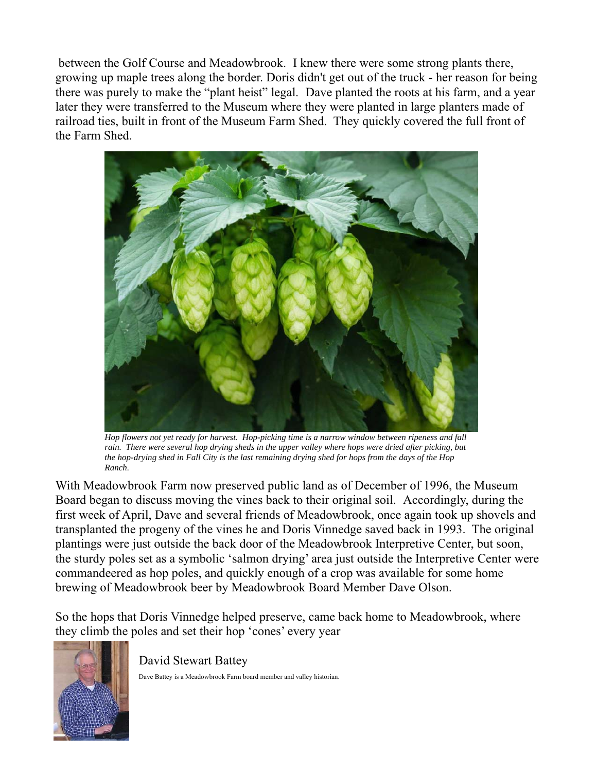between the Golf Course and Meadowbrook. I knew there were some strong plants there, growing up maple trees along the border. Doris didn't get out of the truck - her reason for being there was purely to make the "plant heist" legal. Dave planted the roots at his farm, and a year later they were transferred to the Museum where they were planted in large planters made of railroad ties, built in front of the Museum Farm Shed. They quickly covered the full front of the Farm Shed



Hop flowers not yet ready for harvest. Hop-picking time is a narrow window between ripeness and fall rain. There were several hop drying sheds in the upper valley where hops were dried after picking, but the hop-drying shed in Fall City is the last remaining drying shed for hops from the days of the Hop Ranch

With Meadowbrook Farm now preserved public land as of December of 1996, the Museum Board began to discuss moving the vines back to their original soil. Accordingly, during the first week of April, Dave and several friends of Meadowbrook, once again took up shovels and transplanted the progeny of the vines he and Doris Vinnedge saved back in 1993. The original plantings were just outside the back door of the Meadowbrook Interpretive Center, but soon, the sturdy poles set as a symbolic 'salmon drying' area just outside the Interpretive Center were commandeered as hop poles, and quickly enough of a crop was available for some home brewing of Meadowbrook beer by Meadowbrook Board Member Dave Olson.

So the hops that Doris Vinnedge helped preserve, came back home to Meadowbrook, where they climb the poles and set their hop 'cones' every year



David Stewart Battey

Dave Battey is a Meadowbrook Farm board member and valley historian.